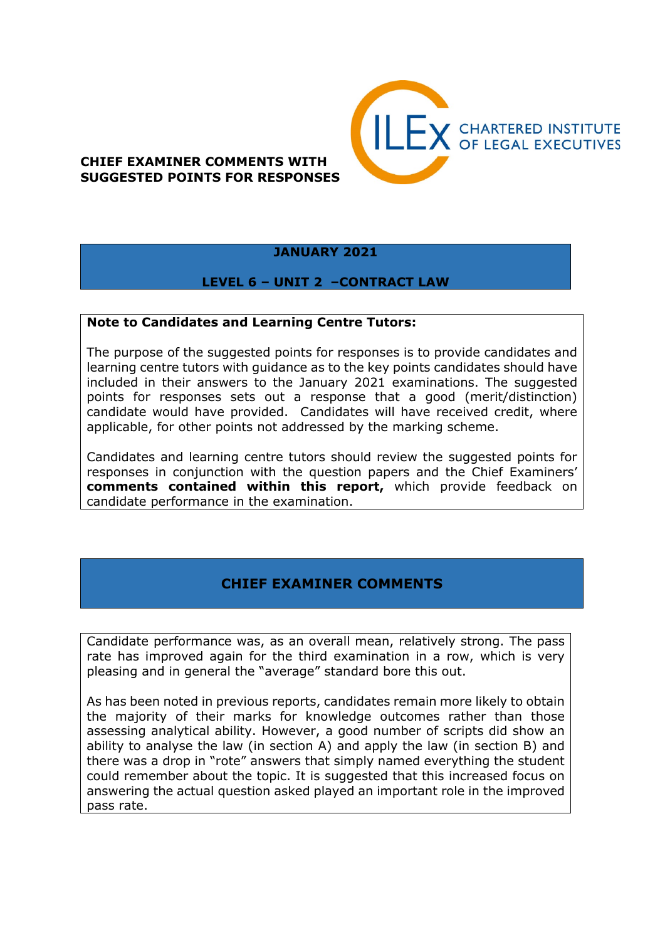

## **CHIEF EXAMINER COMMENTS WITH SUGGESTED POINTS FOR RESPONSES**

# **JANUARY 2021**

#### **LEVEL 6 – UNIT 2 –CONTRACT LAW**

#### **Note to Candidates and Learning Centre Tutors:**

The purpose of the suggested points for responses is to provide candidates and learning centre tutors with guidance as to the key points candidates should have included in their answers to the January 2021 examinations. The suggested points for responses sets out a response that a good (merit/distinction) candidate would have provided. Candidates will have received credit, where applicable, for other points not addressed by the marking scheme.

Candidates and learning centre tutors should review the suggested points for responses in conjunction with the question papers and the Chief Examiners' **comments contained within this report,** which provide feedback on candidate performance in the examination.

# **CHIEF EXAMINER COMMENTS**

Candidate performance was, as an overall mean, relatively strong. The pass rate has improved again for the third examination in a row, which is very pleasing and in general the "average" standard bore this out.

As has been noted in previous reports, candidates remain more likely to obtain the majority of their marks for knowledge outcomes rather than those assessing analytical ability. However, a good number of scripts did show an ability to analyse the law (in section A) and apply the law (in section B) and there was a drop in "rote" answers that simply named everything the student could remember about the topic. It is suggested that this increased focus on answering the actual question asked played an important role in the improved pass rate.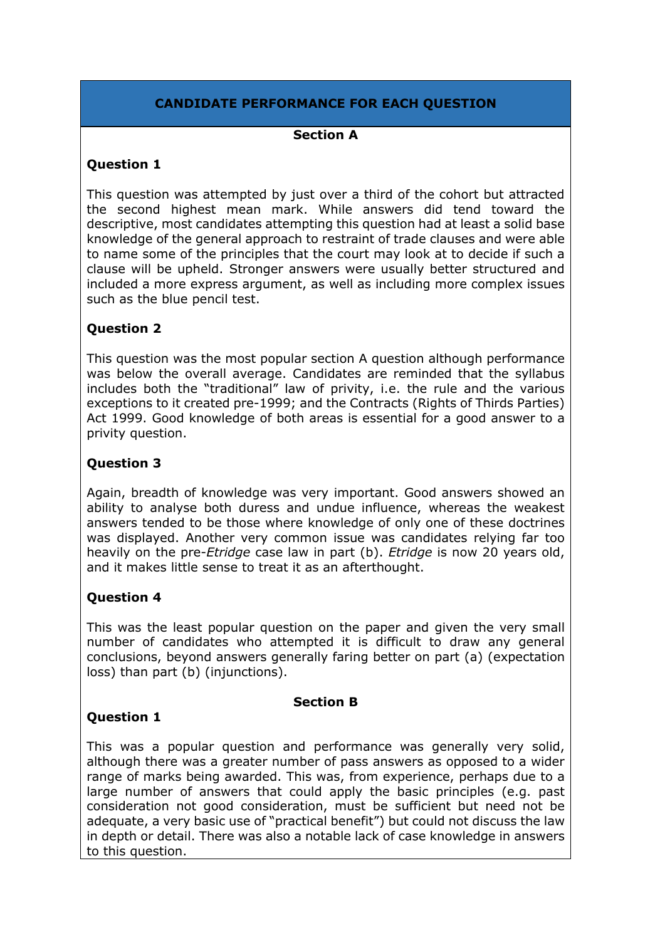# **CANDIDATE PERFORMANCE FOR EACH QUESTION**

#### **Section A**

#### **Question 1**

This question was attempted by just over a third of the cohort but attracted the second highest mean mark. While answers did tend toward the descriptive, most candidates attempting this question had at least a solid base knowledge of the general approach to restraint of trade clauses and were able to name some of the principles that the court may look at to decide if such a clause will be upheld. Stronger answers were usually better structured and included a more express argument, as well as including more complex issues such as the blue pencil test.

## **Question 2**

This question was the most popular section A question although performance was below the overall average. Candidates are reminded that the syllabus includes both the "traditional" law of privity, i.e. the rule and the various exceptions to it created pre-1999; and the Contracts (Rights of Thirds Parties) Act 1999. Good knowledge of both areas is essential for a good answer to a privity question.

#### **Question 3**

Again, breadth of knowledge was very important. Good answers showed an ability to analyse both duress and undue influence, whereas the weakest answers tended to be those where knowledge of only one of these doctrines was displayed. Another very common issue was candidates relying far too heavily on the pre-*Etridge* case law in part (b). *Etridge* is now 20 years old, and it makes little sense to treat it as an afterthought.

## **Question 4**

This was the least popular question on the paper and given the very small number of candidates who attempted it is difficult to draw any general conclusions, beyond answers generally faring better on part (a) (expectation loss) than part (b) (injunctions).

#### **Section B**

## **Question 1**

This was a popular question and performance was generally very solid, although there was a greater number of pass answers as opposed to a wider range of marks being awarded. This was, from experience, perhaps due to a large number of answers that could apply the basic principles (e.g. past consideration not good consideration, must be sufficient but need not be adequate, a very basic use of "practical benefit") but could not discuss the law in depth or detail. There was also a notable lack of case knowledge in answers to this question.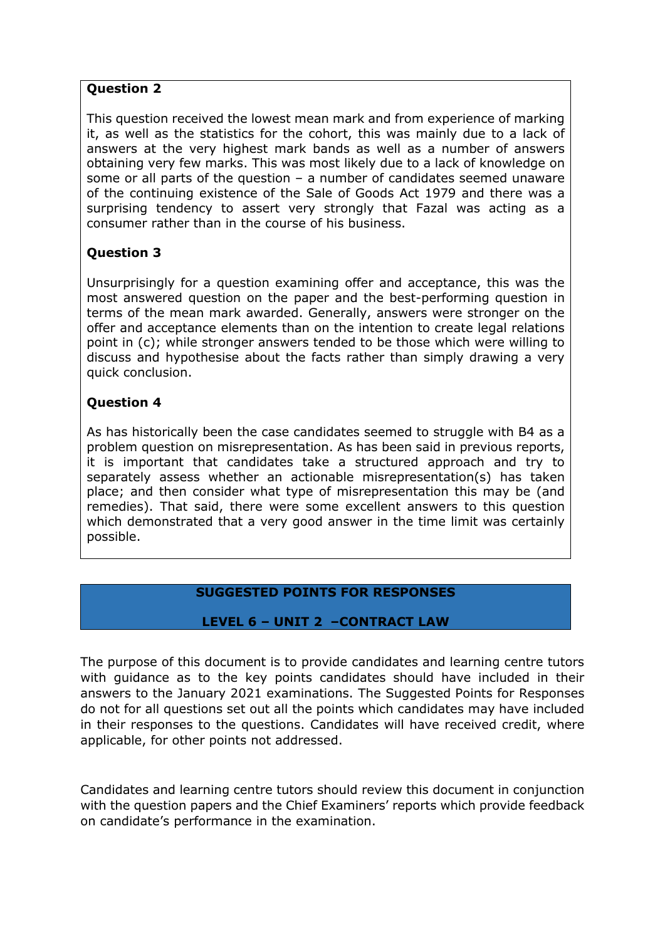#### **Question 2**

This question received the lowest mean mark and from experience of marking it, as well as the statistics for the cohort, this was mainly due to a lack of answers at the very highest mark bands as well as a number of answers obtaining very few marks. This was most likely due to a lack of knowledge on some or all parts of the question – a number of candidates seemed unaware of the continuing existence of the Sale of Goods Act 1979 and there was a surprising tendency to assert very strongly that Fazal was acting as a consumer rather than in the course of his business.

# **Question 3**

Unsurprisingly for a question examining offer and acceptance, this was the most answered question on the paper and the best-performing question in terms of the mean mark awarded. Generally, answers were stronger on the offer and acceptance elements than on the intention to create legal relations point in (c); while stronger answers tended to be those which were willing to discuss and hypothesise about the facts rather than simply drawing a very quick conclusion.

# **Question 4**

As has historically been the case candidates seemed to struggle with B4 as a problem question on misrepresentation. As has been said in previous reports, it is important that candidates take a structured approach and try to separately assess whether an actionable misrepresentation(s) has taken place; and then consider what type of misrepresentation this may be (and remedies). That said, there were some excellent answers to this question which demonstrated that a very good answer in the time limit was certainly possible.

# **SUGGESTED POINTS FOR RESPONSES**

## **LEVEL 6 – UNIT 2 –CONTRACT LAW**

The purpose of this document is to provide candidates and learning centre tutors with guidance as to the key points candidates should have included in their answers to the January 2021 examinations. The Suggested Points for Responses do not for all questions set out all the points which candidates may have included in their responses to the questions. Candidates will have received credit, where applicable, for other points not addressed.

Candidates and learning centre tutors should review this document in conjunction with the question papers and the Chief Examiners' reports which provide feedback on candidate's performance in the examination.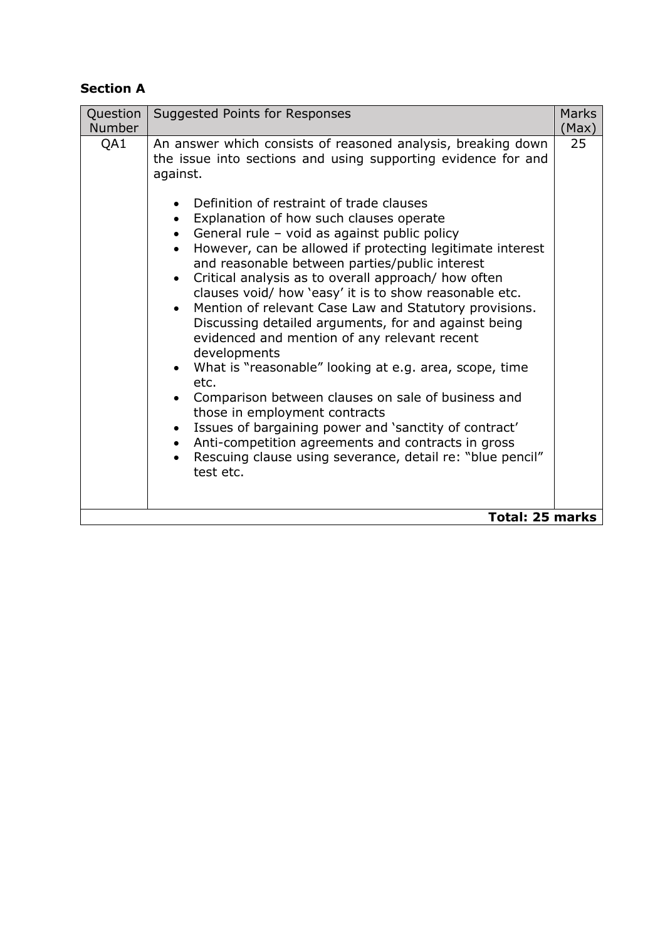# **Section A**

| Question<br><b>Number</b> | Suggested Points for Responses                                                                                                                                                                                                                                                                                                                                                                                                                                                                                                                                                                                                                                                                                                                                                                                                                                                                                                                                                                                                                                                 | <b>Marks</b><br>(Max) |
|---------------------------|--------------------------------------------------------------------------------------------------------------------------------------------------------------------------------------------------------------------------------------------------------------------------------------------------------------------------------------------------------------------------------------------------------------------------------------------------------------------------------------------------------------------------------------------------------------------------------------------------------------------------------------------------------------------------------------------------------------------------------------------------------------------------------------------------------------------------------------------------------------------------------------------------------------------------------------------------------------------------------------------------------------------------------------------------------------------------------|-----------------------|
| QA1                       | An answer which consists of reasoned analysis, breaking down<br>the issue into sections and using supporting evidence for and<br>against.<br>Definition of restraint of trade clauses<br>Explanation of how such clauses operate<br>General rule - void as against public policy<br>However, can be allowed if protecting legitimate interest<br>and reasonable between parties/public interest<br>Critical analysis as to overall approach/ how often<br>clauses void/ how 'easy' it is to show reasonable etc.<br>Mention of relevant Case Law and Statutory provisions.<br>Discussing detailed arguments, for and against being<br>evidenced and mention of any relevant recent<br>developments<br>What is "reasonable" looking at e.g. area, scope, time<br>etc.<br>Comparison between clauses on sale of business and<br>those in employment contracts<br>Issues of bargaining power and 'sanctity of contract'<br>Anti-competition agreements and contracts in gross<br>Rescuing clause using severance, detail re: "blue pencil"<br>test etc.<br><b>Total: 25 marks</b> | 25                    |
|                           |                                                                                                                                                                                                                                                                                                                                                                                                                                                                                                                                                                                                                                                                                                                                                                                                                                                                                                                                                                                                                                                                                |                       |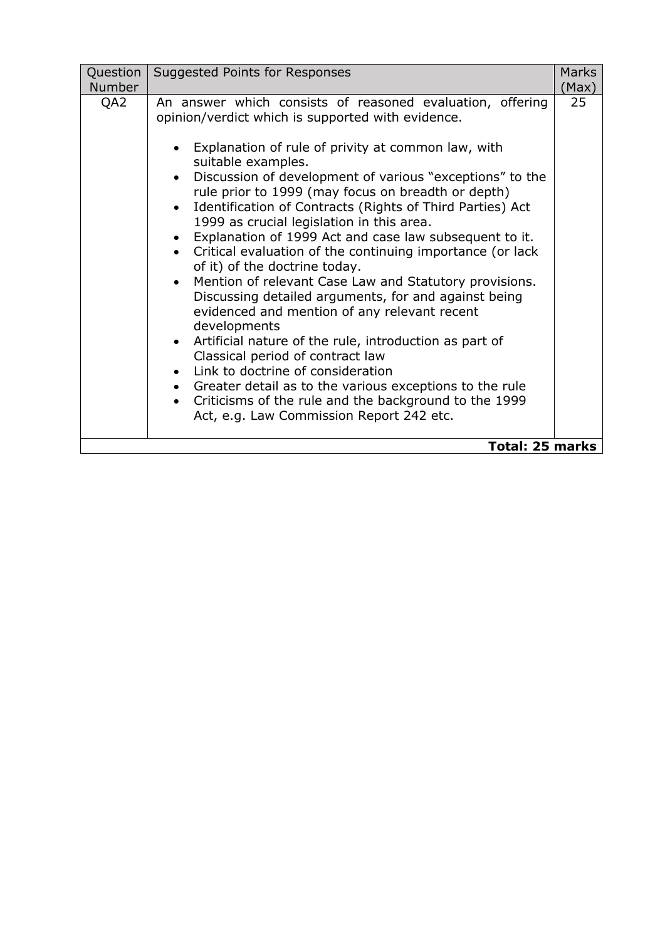| Question<br><b>Number</b> | Suggested Points for Responses                                                                                                                                                                                                                                                                                                                                                                                                                                                                                                                                                                                                                                                                                                                                                                                                                                                                                                                                                                                                                                        | <b>Marks</b><br>(Max) |
|---------------------------|-----------------------------------------------------------------------------------------------------------------------------------------------------------------------------------------------------------------------------------------------------------------------------------------------------------------------------------------------------------------------------------------------------------------------------------------------------------------------------------------------------------------------------------------------------------------------------------------------------------------------------------------------------------------------------------------------------------------------------------------------------------------------------------------------------------------------------------------------------------------------------------------------------------------------------------------------------------------------------------------------------------------------------------------------------------------------|-----------------------|
| QA2                       | An answer which consists of reasoned evaluation, offering<br>opinion/verdict which is supported with evidence.<br>Explanation of rule of privity at common law, with<br>suitable examples.<br>Discussion of development of various "exceptions" to the<br>rule prior to 1999 (may focus on breadth or depth)<br>Identification of Contracts (Rights of Third Parties) Act<br>1999 as crucial legislation in this area.<br>Explanation of 1999 Act and case law subsequent to it.<br>• Critical evaluation of the continuing importance (or lack<br>of it) of the doctrine today.<br>Mention of relevant Case Law and Statutory provisions.<br>Discussing detailed arguments, for and against being<br>evidenced and mention of any relevant recent<br>developments<br>Artificial nature of the rule, introduction as part of<br>Classical period of contract law<br>Link to doctrine of consideration<br>Greater detail as to the various exceptions to the rule<br>Criticisms of the rule and the background to the 1999<br>Act, e.g. Law Commission Report 242 etc. | 25                    |
| <b>Total: 25 marks</b>    |                                                                                                                                                                                                                                                                                                                                                                                                                                                                                                                                                                                                                                                                                                                                                                                                                                                                                                                                                                                                                                                                       |                       |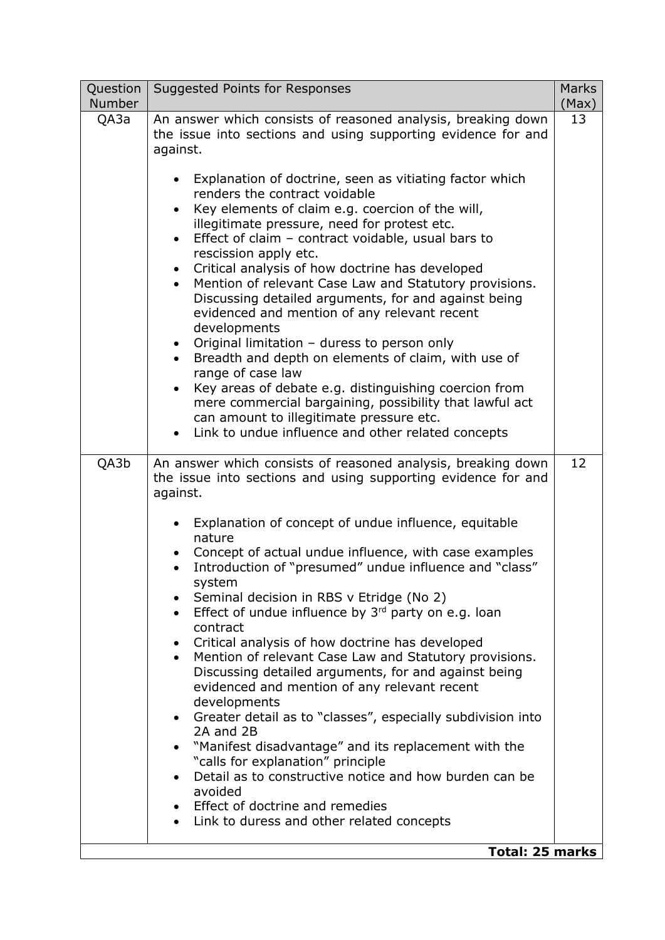| Question<br><b>Number</b> | <b>Suggested Points for Responses</b>                                                                                                                                                                                                                                                                                                                                                                                                                                                                                                                                                                                                                                                                                                                                                                                                                                                                                  | <b>Marks</b><br>(Max) |
|---------------------------|------------------------------------------------------------------------------------------------------------------------------------------------------------------------------------------------------------------------------------------------------------------------------------------------------------------------------------------------------------------------------------------------------------------------------------------------------------------------------------------------------------------------------------------------------------------------------------------------------------------------------------------------------------------------------------------------------------------------------------------------------------------------------------------------------------------------------------------------------------------------------------------------------------------------|-----------------------|
| QA3a                      | An answer which consists of reasoned analysis, breaking down<br>the issue into sections and using supporting evidence for and<br>against.                                                                                                                                                                                                                                                                                                                                                                                                                                                                                                                                                                                                                                                                                                                                                                              | 13                    |
|                           | Explanation of doctrine, seen as vitiating factor which<br>renders the contract voidable<br>Key elements of claim e.g. coercion of the will,<br>illegitimate pressure, need for protest etc.<br>Effect of claim - contract voidable, usual bars to<br>$\bullet$<br>rescission apply etc.<br>Critical analysis of how doctrine has developed<br>Mention of relevant Case Law and Statutory provisions.<br>Discussing detailed arguments, for and against being<br>evidenced and mention of any relevant recent<br>developments<br>Original limitation - duress to person only<br>Breadth and depth on elements of claim, with use of<br>range of case law<br>Key areas of debate e.g. distinguishing coercion from<br>$\bullet$<br>mere commercial bargaining, possibility that lawful act<br>can amount to illegitimate pressure etc.<br>Link to undue influence and other related concepts                            |                       |
| QA3b                      | An answer which consists of reasoned analysis, breaking down<br>the issue into sections and using supporting evidence for and<br>against.                                                                                                                                                                                                                                                                                                                                                                                                                                                                                                                                                                                                                                                                                                                                                                              | 12                    |
|                           | Explanation of concept of undue influence, equitable<br>nature<br>Concept of actual undue influence, with case examples<br>Introduction of "presumed" undue influence and "class"<br>system<br>Seminal decision in RBS v Etridge (No 2)<br>Effect of undue influence by $3rd$ party on e.g. loan<br>contract<br>Critical analysis of how doctrine has developed<br>$\bullet$<br>Mention of relevant Case Law and Statutory provisions.<br>Discussing detailed arguments, for and against being<br>evidenced and mention of any relevant recent<br>developments<br>Greater detail as to "classes", especially subdivision into<br>2A and 2B<br>"Manifest disadvantage" and its replacement with the<br>"calls for explanation" principle<br>Detail as to constructive notice and how burden can be<br>avoided<br>Effect of doctrine and remedies<br>Link to duress and other related concepts<br><b>Total: 25 marks</b> |                       |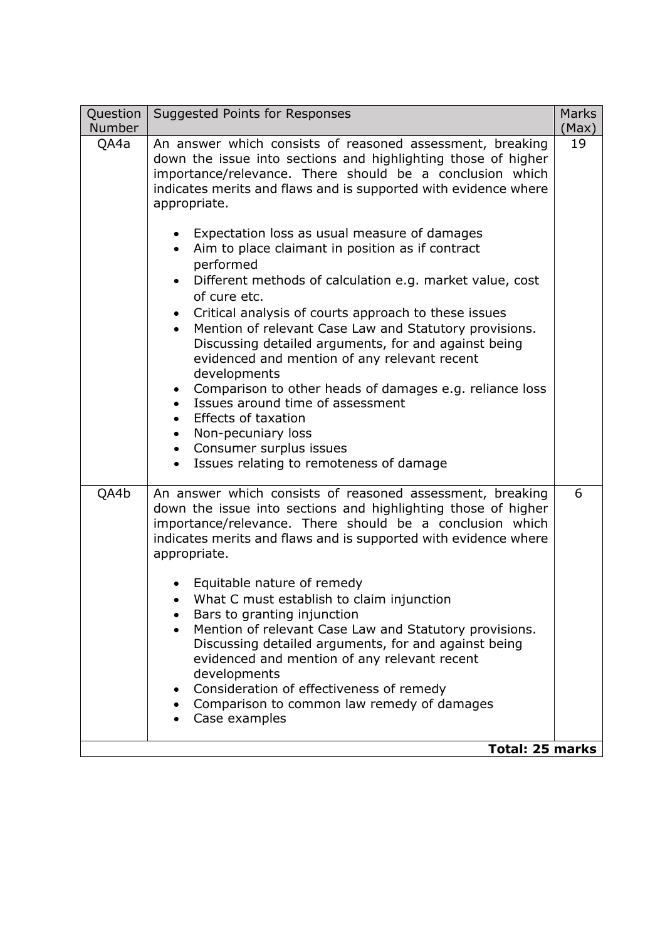| Question<br><b>Number</b> | Suggested Points for Responses                                                                                                                                                                                                                                                                                                                                                                                                                                                                                                                                                                                                                                                                                                                                                                                                                                                                                                                                                                      | <b>Marks</b><br>(Max) |
|---------------------------|-----------------------------------------------------------------------------------------------------------------------------------------------------------------------------------------------------------------------------------------------------------------------------------------------------------------------------------------------------------------------------------------------------------------------------------------------------------------------------------------------------------------------------------------------------------------------------------------------------------------------------------------------------------------------------------------------------------------------------------------------------------------------------------------------------------------------------------------------------------------------------------------------------------------------------------------------------------------------------------------------------|-----------------------|
| QA4a                      | An answer which consists of reasoned assessment, breaking<br>down the issue into sections and highlighting those of higher<br>importance/relevance. There should be a conclusion which<br>indicates merits and flaws and is supported with evidence where<br>appropriate.<br>Expectation loss as usual measure of damages<br>$\bullet$<br>Aim to place claimant in position as if contract<br>$\bullet$<br>performed<br>Different methods of calculation e.g. market value, cost<br>of cure etc.<br>• Critical analysis of courts approach to these issues<br>Mention of relevant Case Law and Statutory provisions.<br>$\bullet$<br>Discussing detailed arguments, for and against being<br>evidenced and mention of any relevant recent<br>developments<br>• Comparison to other heads of damages e.g. reliance loss<br>Issues around time of assessment<br><b>Effects of taxation</b><br>Non-pecuniary loss<br>$\bullet$<br>• Consumer surplus issues<br>Issues relating to remoteness of damage | 19                    |
| QA4b                      | An answer which consists of reasoned assessment, breaking<br>down the issue into sections and highlighting those of higher<br>importance/relevance. There should be a conclusion which<br>indicates merits and flaws and is supported with evidence where<br>appropriate.<br>Equitable nature of remedy<br>What C must establish to claim injunction<br>Bars to granting injunction<br>Mention of relevant Case Law and Statutory provisions.<br>Discussing detailed arguments, for and against being<br>evidenced and mention of any relevant recent<br>developments<br>Consideration of effectiveness of remedy<br>• Comparison to common law remedy of damages<br>Case examples<br><b>Total: 25 marks</b>                                                                                                                                                                                                                                                                                        | 6                     |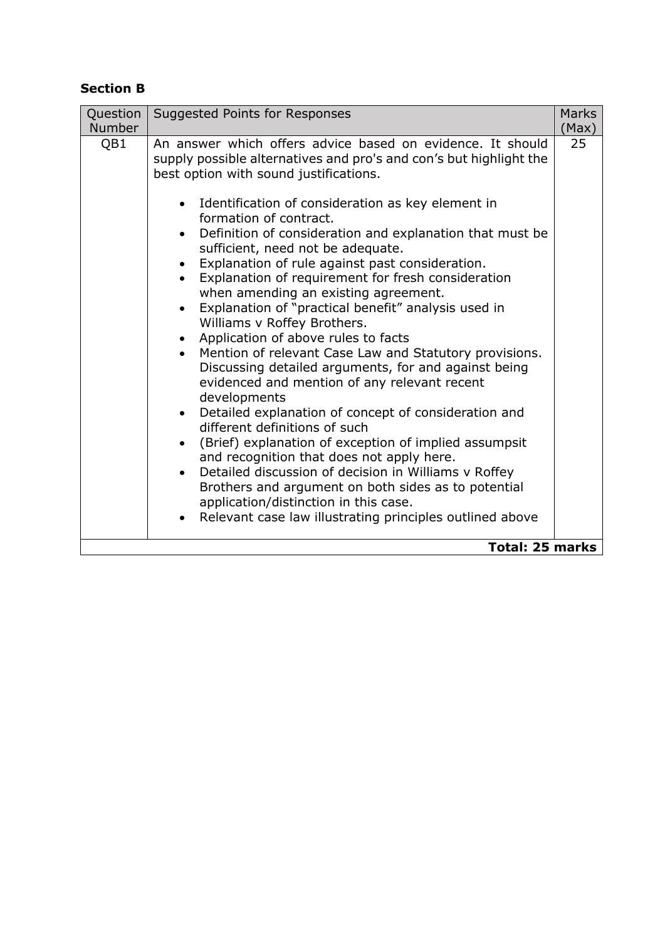# **Section B**

| Question<br><b>Number</b> | Suggested Points for Responses                                                                                                                                                                                                                                                                                                                                                                                                                                                                                                                                                                                                                                                                                                                                                                                                                                                                                                                                                                                                                                                                                                                                                                                                                                                                                     | <b>Marks</b><br>(Max) |
|---------------------------|--------------------------------------------------------------------------------------------------------------------------------------------------------------------------------------------------------------------------------------------------------------------------------------------------------------------------------------------------------------------------------------------------------------------------------------------------------------------------------------------------------------------------------------------------------------------------------------------------------------------------------------------------------------------------------------------------------------------------------------------------------------------------------------------------------------------------------------------------------------------------------------------------------------------------------------------------------------------------------------------------------------------------------------------------------------------------------------------------------------------------------------------------------------------------------------------------------------------------------------------------------------------------------------------------------------------|-----------------------|
| QB1                       | An answer which offers advice based on evidence. It should<br>supply possible alternatives and pro's and con's but highlight the<br>best option with sound justifications.<br>• Identification of consideration as key element in<br>formation of contract.<br>Definition of consideration and explanation that must be<br>$\bullet$<br>sufficient, need not be adequate.<br>Explanation of rule against past consideration.<br>Explanation of requirement for fresh consideration<br>when amending an existing agreement.<br>Explanation of "practical benefit" analysis used in<br>$\bullet$<br>Williams v Roffey Brothers.<br>Application of above rules to facts<br>Mention of relevant Case Law and Statutory provisions.<br>$\bullet$<br>Discussing detailed arguments, for and against being<br>evidenced and mention of any relevant recent<br>developments<br>• Detailed explanation of concept of consideration and<br>different definitions of such<br>(Brief) explanation of exception of implied assumpsit<br>$\bullet$<br>and recognition that does not apply here.<br>Detailed discussion of decision in Williams v Roffey<br>$\bullet$<br>Brothers and argument on both sides as to potential<br>application/distinction in this case.<br>Relevant case law illustrating principles outlined above | 25                    |
| <b>Total: 25 marks</b>    |                                                                                                                                                                                                                                                                                                                                                                                                                                                                                                                                                                                                                                                                                                                                                                                                                                                                                                                                                                                                                                                                                                                                                                                                                                                                                                                    |                       |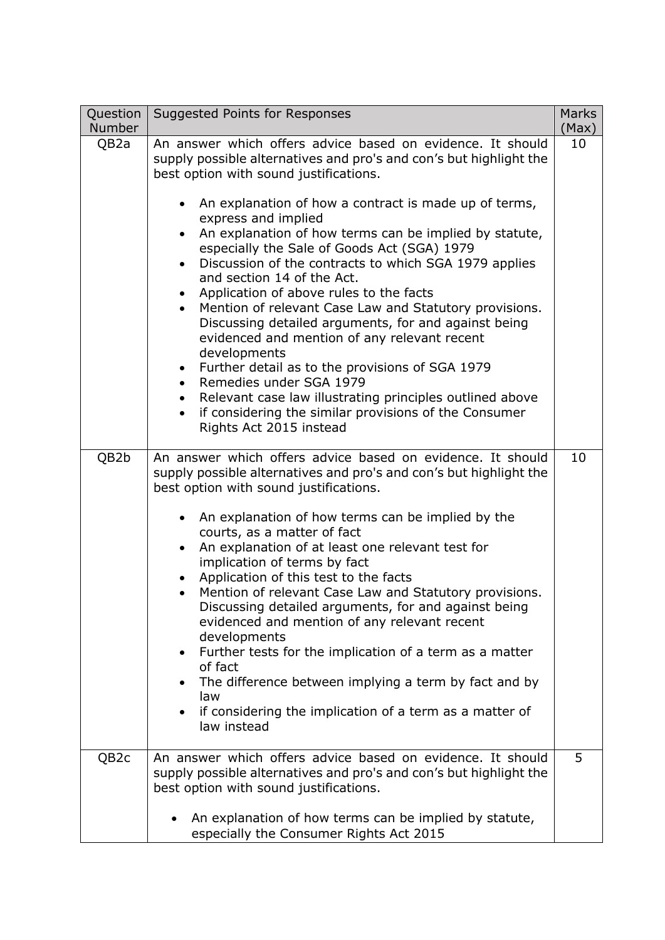| An answer which offers advice based on evidence. It should<br>QB <sub>2</sub> a<br>supply possible alternatives and pro's and con's but highlight the<br>best option with sound justifications.<br>An explanation of how a contract is made up of terms,<br>express and implied<br>An explanation of how terms can be implied by statute,<br>$\bullet$<br>especially the Sale of Goods Act (SGA) 1979<br>Discussion of the contracts to which SGA 1979 applies<br>and section 14 of the Act.<br>Application of above rules to the facts<br>Mention of relevant Case Law and Statutory provisions.<br>$\bullet$<br>Discussing detailed arguments, for and against being<br>evidenced and mention of any relevant recent<br>developments<br>Further detail as to the provisions of SGA 1979<br>Remedies under SGA 1979<br>Relevant case law illustrating principles outlined above<br>if considering the similar provisions of the Consumer<br>$\bullet$<br>Rights Act 2015 instead<br>QB2b<br>An answer which offers advice based on evidence. It should<br>supply possible alternatives and pro's and con's but highlight the<br>best option with sound justifications.<br>An explanation of how terms can be implied by the<br>courts, as a matter of fact<br>An explanation of at least one relevant test for<br>$\bullet$<br>implication of terms by fact<br>Application of this test to the facts<br>Mention of relevant Case Law and Statutory provisions.<br>Discussing detailed arguments, for and against being<br>evidenced and mention of any relevant recent<br>developments<br>Further tests for the implication of a term as a matter<br>$\bullet$<br>of fact<br>The difference between implying a term by fact and by<br>law<br>if considering the implication of a term as a matter of<br>law instead<br>An answer which offers advice based on evidence. It should<br>5<br>QB <sub>2</sub> c | Question<br><b>Number</b> | Suggested Points for Responses                                     | <b>Marks</b><br>(Max) |
|--------------------------------------------------------------------------------------------------------------------------------------------------------------------------------------------------------------------------------------------------------------------------------------------------------------------------------------------------------------------------------------------------------------------------------------------------------------------------------------------------------------------------------------------------------------------------------------------------------------------------------------------------------------------------------------------------------------------------------------------------------------------------------------------------------------------------------------------------------------------------------------------------------------------------------------------------------------------------------------------------------------------------------------------------------------------------------------------------------------------------------------------------------------------------------------------------------------------------------------------------------------------------------------------------------------------------------------------------------------------------------------------------------------------------------------------------------------------------------------------------------------------------------------------------------------------------------------------------------------------------------------------------------------------------------------------------------------------------------------------------------------------------------------------------------------------------------------------------------------------------------------------------------------|---------------------------|--------------------------------------------------------------------|-----------------------|
|                                                                                                                                                                                                                                                                                                                                                                                                                                                                                                                                                                                                                                                                                                                                                                                                                                                                                                                                                                                                                                                                                                                                                                                                                                                                                                                                                                                                                                                                                                                                                                                                                                                                                                                                                                                                                                                                                                              |                           |                                                                    | 10                    |
|                                                                                                                                                                                                                                                                                                                                                                                                                                                                                                                                                                                                                                                                                                                                                                                                                                                                                                                                                                                                                                                                                                                                                                                                                                                                                                                                                                                                                                                                                                                                                                                                                                                                                                                                                                                                                                                                                                              |                           |                                                                    | 10                    |
| best option with sound justifications.<br>An explanation of how terms can be implied by statute,<br>$\bullet$<br>especially the Consumer Rights Act 2015                                                                                                                                                                                                                                                                                                                                                                                                                                                                                                                                                                                                                                                                                                                                                                                                                                                                                                                                                                                                                                                                                                                                                                                                                                                                                                                                                                                                                                                                                                                                                                                                                                                                                                                                                     |                           | supply possible alternatives and pro's and con's but highlight the |                       |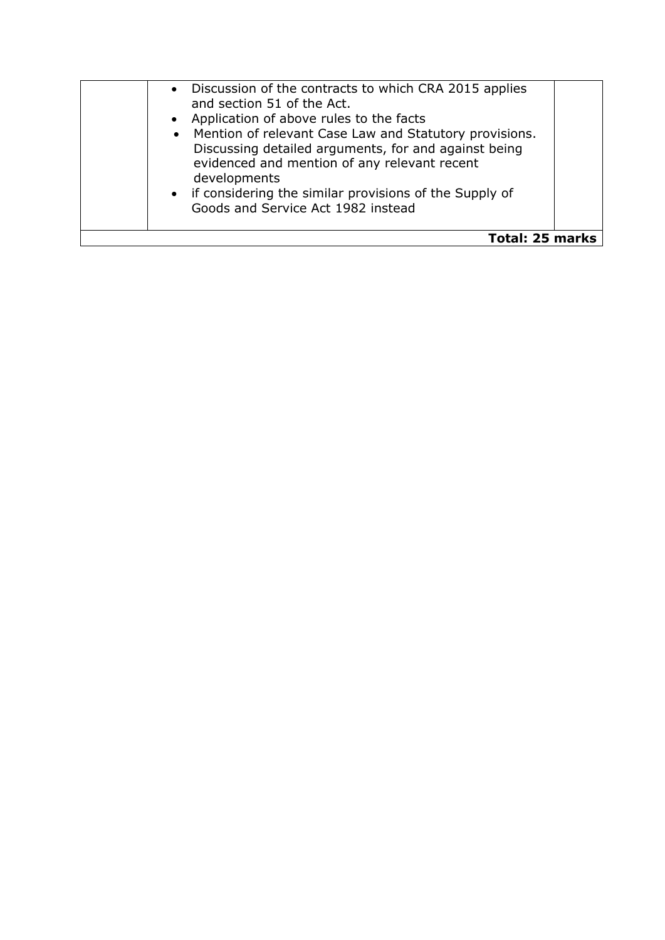| • Discussion of the contracts to which CRA 2015 applies<br>and section 51 of the Act.<br>• Application of above rules to the facts<br>• Mention of relevant Case Law and Statutory provisions.<br>Discussing detailed arguments, for and against being<br>evidenced and mention of any relevant recent<br>developments<br>• if considering the similar provisions of the Supply of<br>Goods and Service Act 1982 instead |  |  |
|--------------------------------------------------------------------------------------------------------------------------------------------------------------------------------------------------------------------------------------------------------------------------------------------------------------------------------------------------------------------------------------------------------------------------|--|--|
| <b>Total: 25 marks</b>                                                                                                                                                                                                                                                                                                                                                                                                   |  |  |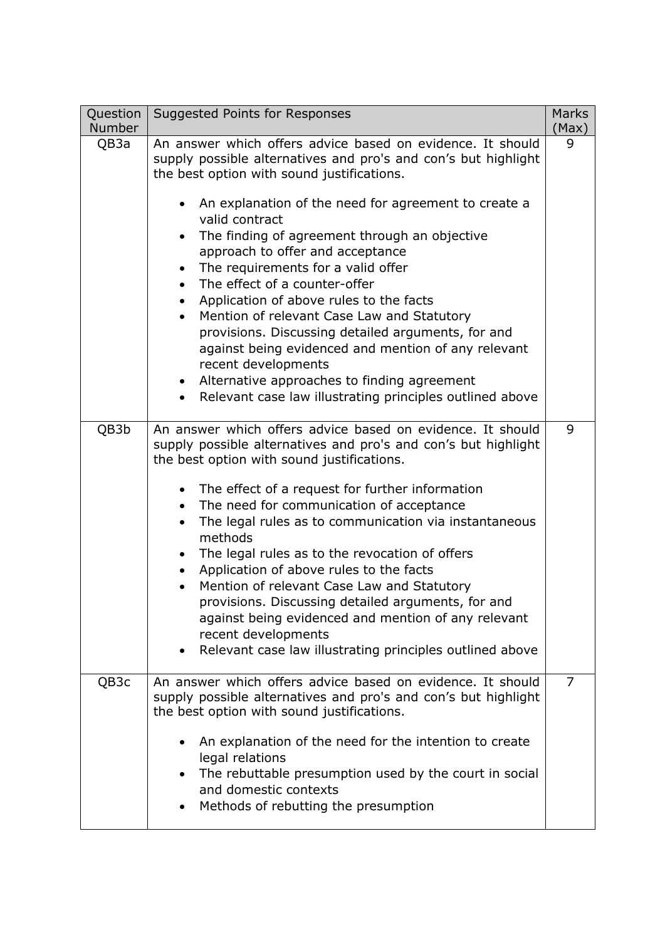| Question<br><b>Number</b> | <b>Suggested Points for Responses</b>                                                                                                                                                                                                                                                                                                                                                                                                                                                                                                                                                                                                                                                                                                                                 | <b>Marks</b><br>(Max) |
|---------------------------|-----------------------------------------------------------------------------------------------------------------------------------------------------------------------------------------------------------------------------------------------------------------------------------------------------------------------------------------------------------------------------------------------------------------------------------------------------------------------------------------------------------------------------------------------------------------------------------------------------------------------------------------------------------------------------------------------------------------------------------------------------------------------|-----------------------|
| QB3a                      | An answer which offers advice based on evidence. It should<br>supply possible alternatives and pro's and con's but highlight<br>the best option with sound justifications.<br>An explanation of the need for agreement to create a<br>valid contract<br>The finding of agreement through an objective<br>approach to offer and acceptance<br>The requirements for a valid offer<br>The effect of a counter-offer<br>Application of above rules to the facts<br>Mention of relevant Case Law and Statutory<br>provisions. Discussing detailed arguments, for and<br>against being evidenced and mention of any relevant<br>recent developments<br>Alternative approaches to finding agreement<br>Relevant case law illustrating principles outlined above<br>$\bullet$ | 9                     |
| QB3b                      | An answer which offers advice based on evidence. It should<br>supply possible alternatives and pro's and con's but highlight<br>the best option with sound justifications.<br>The effect of a request for further information<br>The need for communication of acceptance<br>The legal rules as to communication via instantaneous<br>methods<br>The legal rules as to the revocation of offers<br>Application of above rules to the facts<br>$\bullet$<br>Mention of relevant Case Law and Statutory<br>provisions. Discussing detailed arguments, for and<br>against being evidenced and mention of any relevant<br>recent developments<br>Relevant case law illustrating principles outlined above                                                                 | 9                     |
| QB3c                      | An answer which offers advice based on evidence. It should<br>supply possible alternatives and pro's and con's but highlight<br>the best option with sound justifications.<br>An explanation of the need for the intention to create<br>legal relations<br>The rebuttable presumption used by the court in social<br>and domestic contexts<br>Methods of rebutting the presumption                                                                                                                                                                                                                                                                                                                                                                                    | 7                     |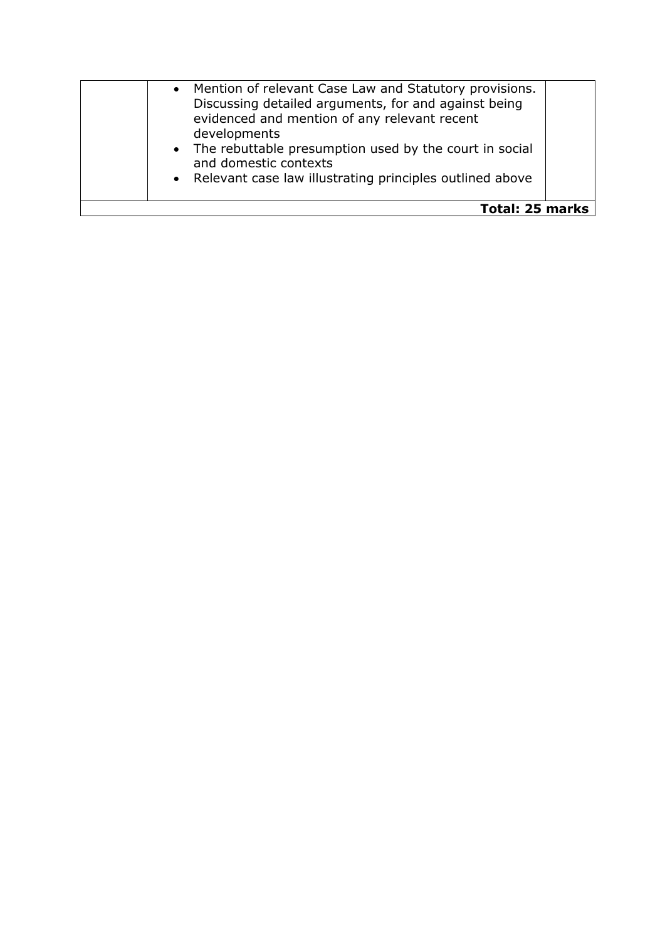| Mention of relevant Case Law and Statutory provisions.<br>Discussing detailed arguments, for and against being<br>evidenced and mention of any relevant recent<br>developments<br>• The rebuttable presumption used by the court in social<br>and domestic contexts<br>• Relevant case law illustrating principles outlined above |  |
|-----------------------------------------------------------------------------------------------------------------------------------------------------------------------------------------------------------------------------------------------------------------------------------------------------------------------------------|--|
| <b>Total: 25 marks</b>                                                                                                                                                                                                                                                                                                            |  |